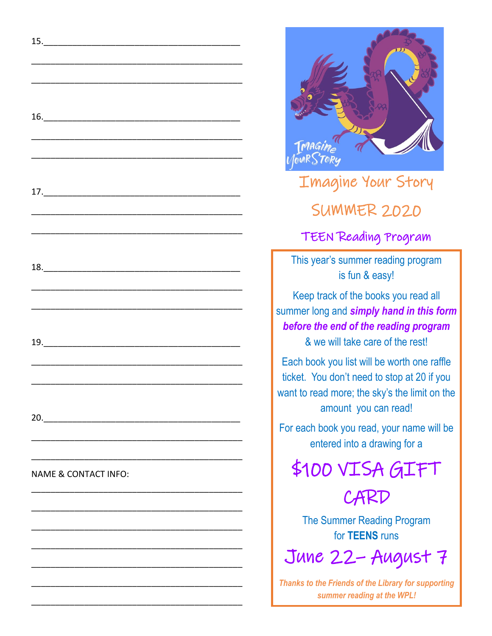

## Imagine Your Story SUMMER 2020

## TEEN Reading Program

This year's summer reading program is fun & easy!

Keep track of the books you read all summer long and *simply hand in this form before the end of the reading program*  & we will take care of the rest!

Each book you list will be worth one raffle ticket. You don't need to stop at 20 if you want to read more; the sky's the limit on the amount you can read!

For each book you read, your name will be entered into a drawing for a

\$100 VISA GIFT

**CARD** 

The Summer Reading Program for **TEENS** runs

June 22– August 7

*Thanks to the Friends of the Library for supporting summer reading at the WPL!*

15.\_\_\_\_\_\_\_\_\_\_\_\_\_\_\_\_\_\_\_\_\_\_\_\_\_\_\_\_\_\_\_\_\_\_\_\_\_\_\_\_\_

\_\_\_\_\_\_\_\_\_\_\_\_\_\_\_\_\_\_\_\_\_\_\_\_\_\_\_\_\_\_\_\_\_\_\_\_\_\_\_\_\_\_\_\_

\_\_\_\_\_\_\_\_\_\_\_\_\_\_\_\_\_\_\_\_\_\_\_\_\_\_\_\_\_\_\_\_\_\_\_\_\_\_\_\_\_\_\_\_

16.\_\_\_\_\_\_\_\_\_\_\_\_\_\_\_\_\_\_\_\_\_\_\_\_\_\_\_\_\_\_\_\_\_\_\_\_\_\_\_\_\_

\_\_\_\_\_\_\_\_\_\_\_\_\_\_\_\_\_\_\_\_\_\_\_\_\_\_\_\_\_\_\_\_\_\_\_\_\_\_\_\_\_\_\_\_

\_\_\_\_\_\_\_\_\_\_\_\_\_\_\_\_\_\_\_\_\_\_\_\_\_\_\_\_\_\_\_\_\_\_\_\_\_\_\_\_\_\_\_\_

17.\_\_\_\_\_\_\_\_\_\_\_\_\_\_\_\_\_\_\_\_\_\_\_\_\_\_\_\_\_\_\_\_\_\_\_\_\_\_\_\_\_

\_\_\_\_\_\_\_\_\_\_\_\_\_\_\_\_\_\_\_\_\_\_\_\_\_\_\_\_\_\_\_\_\_\_\_\_\_\_\_\_\_\_\_\_

\_\_\_\_\_\_\_\_\_\_\_\_\_\_\_\_\_\_\_\_\_\_\_\_\_\_\_\_\_\_\_\_\_\_\_\_\_\_\_\_\_\_\_\_

18.\_\_\_\_\_\_\_\_\_\_\_\_\_\_\_\_\_\_\_\_\_\_\_\_\_\_\_\_\_\_\_\_\_\_\_\_\_\_\_\_\_

\_\_\_\_\_\_\_\_\_\_\_\_\_\_\_\_\_\_\_\_\_\_\_\_\_\_\_\_\_\_\_\_\_\_\_\_\_\_\_\_\_\_\_\_

\_\_\_\_\_\_\_\_\_\_\_\_\_\_\_\_\_\_\_\_\_\_\_\_\_\_\_\_\_\_\_\_\_\_\_\_\_\_\_\_\_\_\_\_

19.\_\_\_\_\_\_\_\_\_\_\_\_\_\_\_\_\_\_\_\_\_\_\_\_\_\_\_\_\_\_\_\_\_\_\_\_\_\_\_\_\_

\_\_\_\_\_\_\_\_\_\_\_\_\_\_\_\_\_\_\_\_\_\_\_\_\_\_\_\_\_\_\_\_\_\_\_\_\_\_\_\_\_\_\_\_

\_\_\_\_\_\_\_\_\_\_\_\_\_\_\_\_\_\_\_\_\_\_\_\_\_\_\_\_\_\_\_\_\_\_\_\_\_\_\_\_\_\_\_\_

20.

\_\_\_\_\_\_\_\_\_\_\_\_\_\_\_\_\_\_\_\_\_\_\_\_\_\_\_\_\_\_\_\_\_\_\_\_\_\_\_\_\_\_\_\_

\_\_\_\_\_\_\_\_\_\_\_\_\_\_\_\_\_\_\_\_\_\_\_\_\_\_\_\_\_\_\_\_\_\_\_\_\_\_\_\_\_\_\_\_

\_\_\_\_\_\_\_\_\_\_\_\_\_\_\_\_\_\_\_\_\_\_\_\_\_\_\_\_\_\_\_\_\_\_\_\_\_\_\_\_\_\_\_\_

\_\_\_\_\_\_\_\_\_\_\_\_\_\_\_\_\_\_\_\_\_\_\_\_\_\_\_\_\_\_\_\_\_\_\_\_\_\_\_\_\_\_\_\_

\_\_\_\_\_\_\_\_\_\_\_\_\_\_\_\_\_\_\_\_\_\_\_\_\_\_\_\_\_\_\_\_\_\_\_\_\_\_\_\_\_\_\_\_

\_\_\_\_\_\_\_\_\_\_\_\_\_\_\_\_\_\_\_\_\_\_\_\_\_\_\_\_\_\_\_\_\_\_\_\_\_\_\_\_\_\_\_\_

\_\_\_\_\_\_\_\_\_\_\_\_\_\_\_\_\_\_\_\_\_\_\_\_\_\_\_\_\_\_\_\_\_\_\_\_\_\_\_\_\_\_\_\_

\_\_\_\_\_\_\_\_\_\_\_\_\_\_\_\_\_\_\_\_\_\_\_\_\_\_\_\_\_\_\_\_\_\_\_\_\_\_\_\_\_\_\_\_

\_\_\_\_\_\_\_\_\_\_\_\_\_\_\_\_\_\_\_\_\_\_\_\_\_\_\_\_\_\_\_\_\_\_\_\_\_\_\_\_\_\_\_\_

NAME & CONTACT INFO: